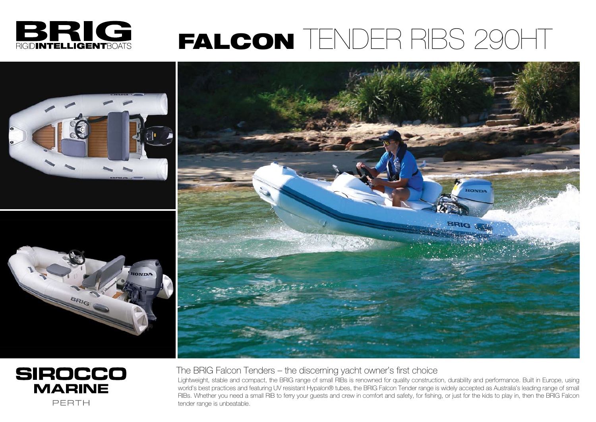The BRIG Falcon Tenders – the discerning yacht owner's first choice Lightweight, stable and compact, the BRIG range of small RIBs is renowned for quality construction, durability and performance. Built in Europe, using world's best practices and featuring UV resistant Hypalon® tubes, the BRIG Falcon Tender range is widely accepted as Australia's leading range of small RIBs. Whether you need a small RIB to ferry your guests and crew in comfort and safety, for fishing, or just for the kids to play in, then the BRIG Falcon tender range is unbeatable.



## FALCON TENDER RIBS 290HT